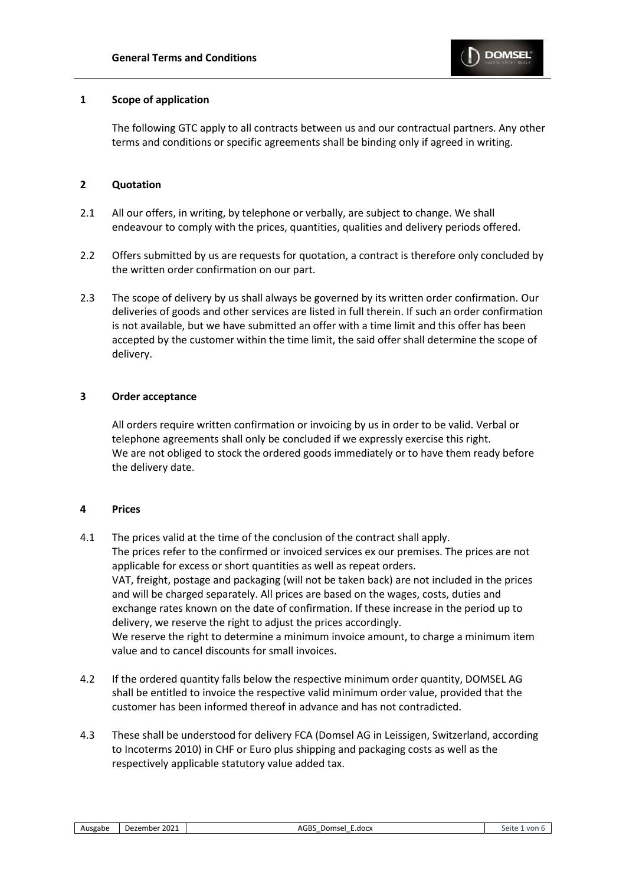## **1 Scope of application**

The following GTC apply to all contracts between us and our contractual partners. Any other terms and conditions or specific agreements shall be binding only if agreed in writing.

# **2 Quotation**

- 2.1 All our offers, in writing, by telephone or verbally, are subject to change. We shall endeavour to comply with the prices, quantities, qualities and delivery periods offered.
- 2.2 Offers submitted by us are requests for quotation, a contract is therefore only concluded by the written order confirmation on our part.
- 2.3 The scope of delivery by us shall always be governed by its written order confirmation. Our deliveries of goods and other services are listed in full therein. If such an order confirmation is not available, but we have submitted an offer with a time limit and this offer has been accepted by the customer within the time limit, the said offer shall determine the scope of delivery.

## **3 Order acceptance**

All orders require written confirmation or invoicing by us in order to be valid. Verbal or telephone agreements shall only be concluded if we expressly exercise this right. We are not obliged to stock the ordered goods immediately or to have them ready before the delivery date.

## **4 Prices**

- 4.1 The prices valid at the time of the conclusion of the contract shall apply. The prices refer to the confirmed or invoiced services ex our premises. The prices are not applicable for excess or short quantities as well as repeat orders. VAT, freight, postage and packaging (will not be taken back) are not included in the prices and will be charged separately. All prices are based on the wages, costs, duties and exchange rates known on the date of confirmation. If these increase in the period up to delivery, we reserve the right to adjust the prices accordingly. We reserve the right to determine a minimum invoice amount, to charge a minimum item value and to cancel discounts for small invoices.
- 4.2 If the ordered quantity falls below the respective minimum order quantity, DOMSEL AG shall be entitled to invoice the respective valid minimum order value, provided that the customer has been informed thereof in advance and has not contradicted.
- 4.3 These shall be understood for delivery FCA (Domsel AG in Leissigen, Switzerland, according to Incoterms 2010) in CHF or Euro plus shipping and packaging costs as well as the respectively applicable statutory value added tax.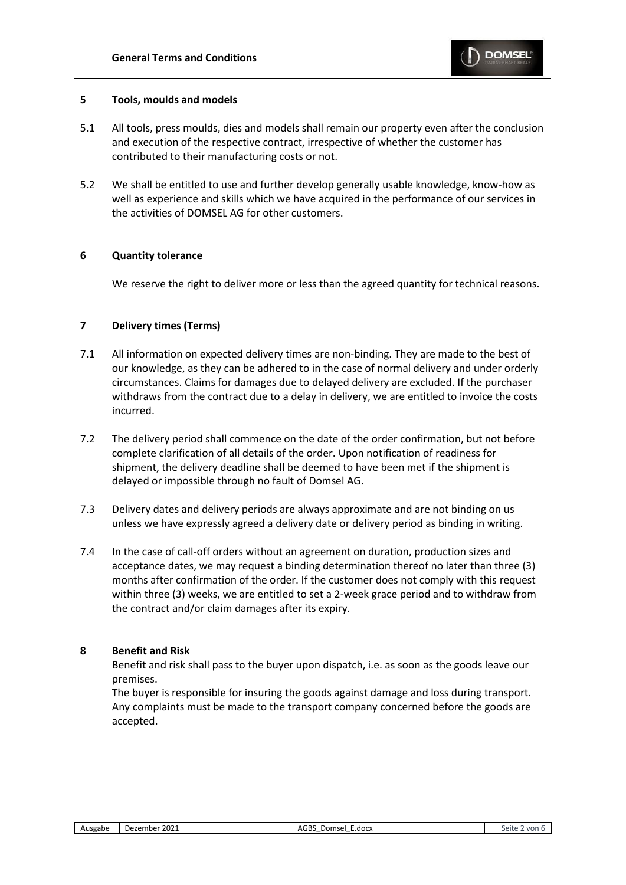

## **5 Tools, moulds and models**

- 5.1 All tools, press moulds, dies and models shall remain our property even after the conclusion and execution of the respective contract, irrespective of whether the customer has contributed to their manufacturing costs or not.
- 5.2 We shall be entitled to use and further develop generally usable knowledge, know-how as well as experience and skills which we have acquired in the performance of our services in the activities of DOMSEL AG for other customers.

## **6 Quantity tolerance**

We reserve the right to deliver more or less than the agreed quantity for technical reasons.

## **7 Delivery times (Terms)**

- 7.1 All information on expected delivery times are non-binding. They are made to the best of our knowledge, as they can be adhered to in the case of normal delivery and under orderly circumstances. Claims for damages due to delayed delivery are excluded. If the purchaser withdraws from the contract due to a delay in delivery, we are entitled to invoice the costs incurred.
- 7.2 The delivery period shall commence on the date of the order confirmation, but not before complete clarification of all details of the order. Upon notification of readiness for shipment, the delivery deadline shall be deemed to have been met if the shipment is delayed or impossible through no fault of Domsel AG.
- 7.3 Delivery dates and delivery periods are always approximate and are not binding on us unless we have expressly agreed a delivery date or delivery period as binding in writing.
- 7.4 In the case of call-off orders without an agreement on duration, production sizes and acceptance dates, we may request a binding determination thereof no later than three (3) months after confirmation of the order. If the customer does not comply with this request within three (3) weeks, we are entitled to set a 2-week grace period and to withdraw from the contract and/or claim damages after its expiry.

## **8 Benefit and Risk**

Benefit and risk shall pass to the buyer upon dispatch, i.e. as soon as the goods leave our premises.

The buyer is responsible for insuring the goods against damage and loss during transport. Any complaints must be made to the transport company concerned before the goods are accepted.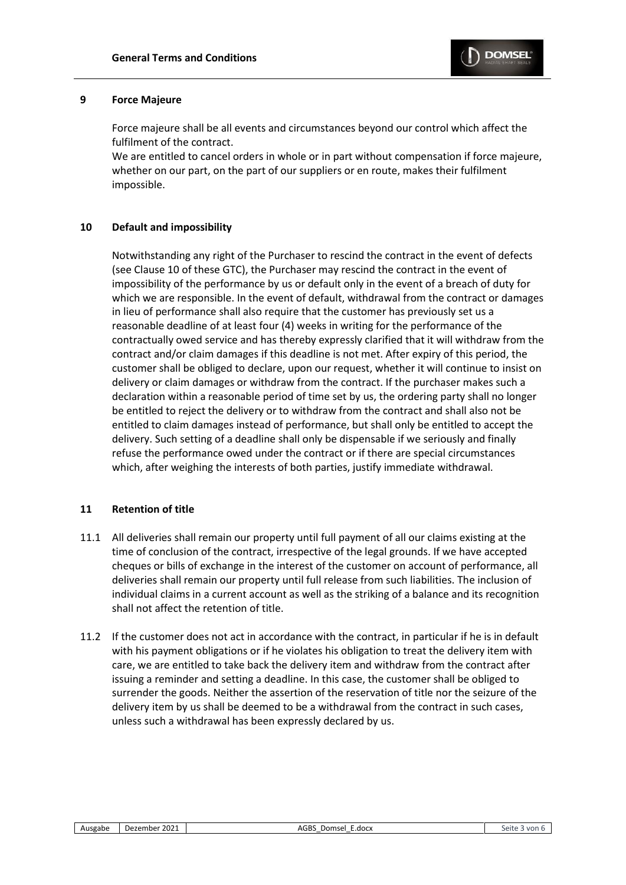

#### **9 Force Majeure**

Force majeure shall be all events and circumstances beyond our control which affect the fulfilment of the contract.

We are entitled to cancel orders in whole or in part without compensation if force majeure, whether on our part, on the part of our suppliers or en route, makes their fulfilment impossible.

## **10 Default and impossibility**

Notwithstanding any right of the Purchaser to rescind the contract in the event of defects (see Clause 10 of these GTC), the Purchaser may rescind the contract in the event of impossibility of the performance by us or default only in the event of a breach of duty for which we are responsible. In the event of default, withdrawal from the contract or damages in lieu of performance shall also require that the customer has previously set us a reasonable deadline of at least four (4) weeks in writing for the performance of the contractually owed service and has thereby expressly clarified that it will withdraw from the contract and/or claim damages if this deadline is not met. After expiry of this period, the customer shall be obliged to declare, upon our request, whether it will continue to insist on delivery or claim damages or withdraw from the contract. If the purchaser makes such a declaration within a reasonable period of time set by us, the ordering party shall no longer be entitled to reject the delivery or to withdraw from the contract and shall also not be entitled to claim damages instead of performance, but shall only be entitled to accept the delivery. Such setting of a deadline shall only be dispensable if we seriously and finally refuse the performance owed under the contract or if there are special circumstances which, after weighing the interests of both parties, justify immediate withdrawal.

## **11 Retention of title**

- 11.1 All deliveries shall remain our property until full payment of all our claims existing at the time of conclusion of the contract, irrespective of the legal grounds. If we have accepted cheques or bills of exchange in the interest of the customer on account of performance, all deliveries shall remain our property until full release from such liabilities. The inclusion of individual claims in a current account as well as the striking of a balance and its recognition shall not affect the retention of title.
- 11.2 If the customer does not act in accordance with the contract, in particular if he is in default with his payment obligations or if he violates his obligation to treat the delivery item with care, we are entitled to take back the delivery item and withdraw from the contract after issuing a reminder and setting a deadline. In this case, the customer shall be obliged to surrender the goods. Neither the assertion of the reservation of title nor the seizure of the delivery item by us shall be deemed to be a withdrawal from the contract in such cases, unless such a withdrawal has been expressly declared by us.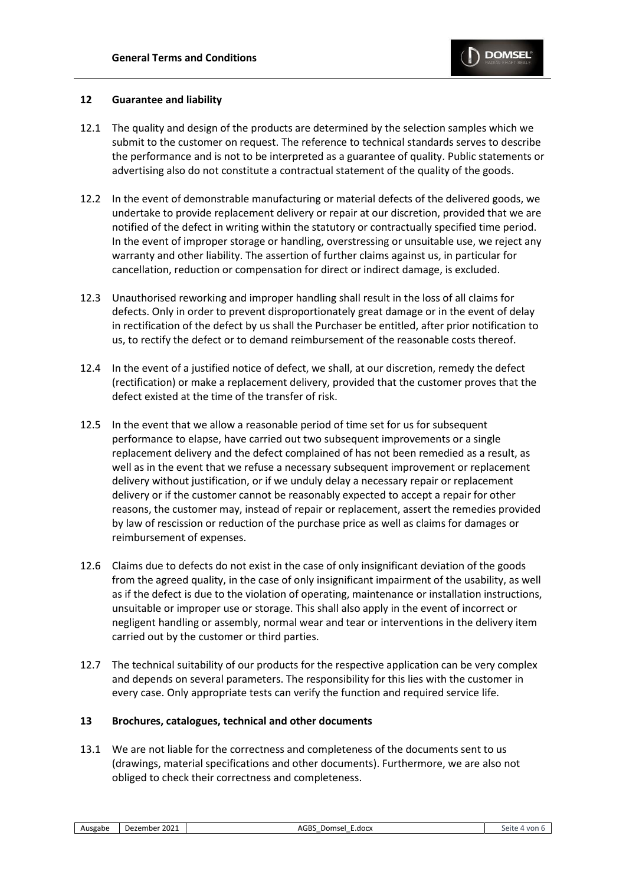

## **12 Guarantee and liability**

- 12.1 The quality and design of the products are determined by the selection samples which we submit to the customer on request. The reference to technical standards serves to describe the performance and is not to be interpreted as a guarantee of quality. Public statements or advertising also do not constitute a contractual statement of the quality of the goods.
- 12.2 In the event of demonstrable manufacturing or material defects of the delivered goods, we undertake to provide replacement delivery or repair at our discretion, provided that we are notified of the defect in writing within the statutory or contractually specified time period. In the event of improper storage or handling, overstressing or unsuitable use, we reject any warranty and other liability. The assertion of further claims against us, in particular for cancellation, reduction or compensation for direct or indirect damage, is excluded.
- 12.3 Unauthorised reworking and improper handling shall result in the loss of all claims for defects. Only in order to prevent disproportionately great damage or in the event of delay in rectification of the defect by us shall the Purchaser be entitled, after prior notification to us, to rectify the defect or to demand reimbursement of the reasonable costs thereof.
- 12.4 In the event of a justified notice of defect, we shall, at our discretion, remedy the defect (rectification) or make a replacement delivery, provided that the customer proves that the defect existed at the time of the transfer of risk.
- 12.5 In the event that we allow a reasonable period of time set for us for subsequent performance to elapse, have carried out two subsequent improvements or a single replacement delivery and the defect complained of has not been remedied as a result, as well as in the event that we refuse a necessary subsequent improvement or replacement delivery without justification, or if we unduly delay a necessary repair or replacement delivery or if the customer cannot be reasonably expected to accept a repair for other reasons, the customer may, instead of repair or replacement, assert the remedies provided by law of rescission or reduction of the purchase price as well as claims for damages or reimbursement of expenses.
- 12.6 Claims due to defects do not exist in the case of only insignificant deviation of the goods from the agreed quality, in the case of only insignificant impairment of the usability, as well as if the defect is due to the violation of operating, maintenance or installation instructions, unsuitable or improper use or storage. This shall also apply in the event of incorrect or negligent handling or assembly, normal wear and tear or interventions in the delivery item carried out by the customer or third parties.
- 12.7 The technical suitability of our products for the respective application can be very complex and depends on several parameters. The responsibility for this lies with the customer in every case. Only appropriate tests can verify the function and required service life.

## **13 Brochures, catalogues, technical and other documents**

13.1 We are not liable for the correctness and completeness of the documents sent to us (drawings, material specifications and other documents). Furthermore, we are also not obliged to check their correctness and completeness.

| Ausgabe | Dezember 2021 |  |
|---------|---------------|--|
|---------|---------------|--|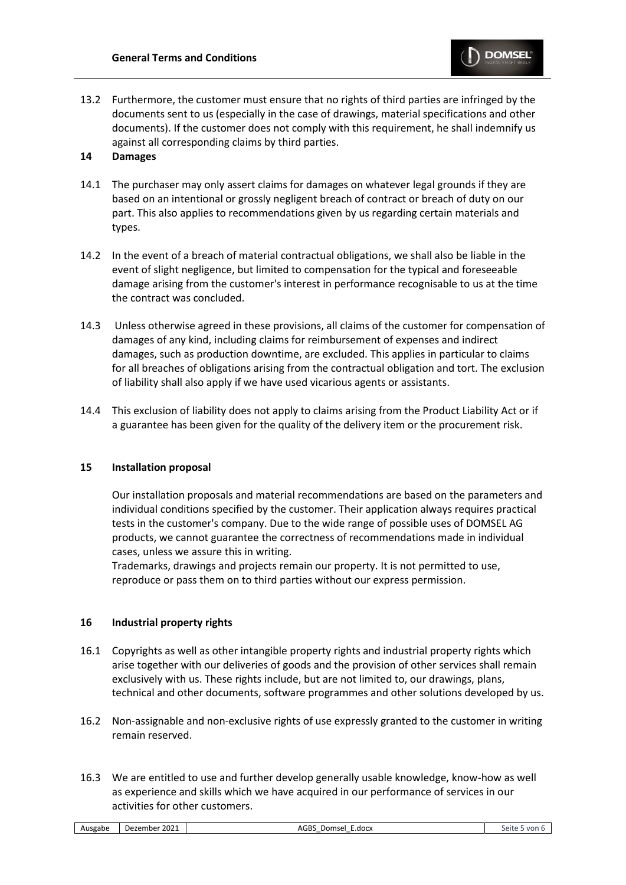

13.2 Furthermore, the customer must ensure that no rights of third parties are infringed by the documents sent to us (especially in the case of drawings, material specifications and other documents). If the customer does not comply with this requirement, he shall indemnify us against all corresponding claims by third parties.

## **14 Damages**

- 14.1 The purchaser may only assert claims for damages on whatever legal grounds if they are based on an intentional or grossly negligent breach of contract or breach of duty on our part. This also applies to recommendations given by us regarding certain materials and types.
- 14.2 In the event of a breach of material contractual obligations, we shall also be liable in the event of slight negligence, but limited to compensation for the typical and foreseeable damage arising from the customer's interest in performance recognisable to us at the time the contract was concluded.
- 14.3 Unless otherwise agreed in these provisions, all claims of the customer for compensation of damages of any kind, including claims for reimbursement of expenses and indirect damages, such as production downtime, are excluded. This applies in particular to claims for all breaches of obligations arising from the contractual obligation and tort. The exclusion of liability shall also apply if we have used vicarious agents or assistants.
- 14.4 This exclusion of liability does not apply to claims arising from the Product Liability Act or if a guarantee has been given for the quality of the delivery item or the procurement risk.

## **15 Installation proposal**

Our installation proposals and material recommendations are based on the parameters and individual conditions specified by the customer. Their application always requires practical tests in the customer's company. Due to the wide range of possible uses of DOMSEL AG products, we cannot guarantee the correctness of recommendations made in individual cases, unless we assure this in writing.

Trademarks, drawings and projects remain our property. It is not permitted to use, reproduce or pass them on to third parties without our express permission.

## **16 Industrial property rights**

- 16.1 Copyrights as well as other intangible property rights and industrial property rights which arise together with our deliveries of goods and the provision of other services shall remain exclusively with us. These rights include, but are not limited to, our drawings, plans, technical and other documents, software programmes and other solutions developed by us.
- 16.2 Non-assignable and non-exclusive rights of use expressly granted to the customer in writing remain reserved.
- 16.3 We are entitled to use and further develop generally usable knowledge, know-how as well as experience and skills which we have acquired in our performance of services in our activities for other customers.